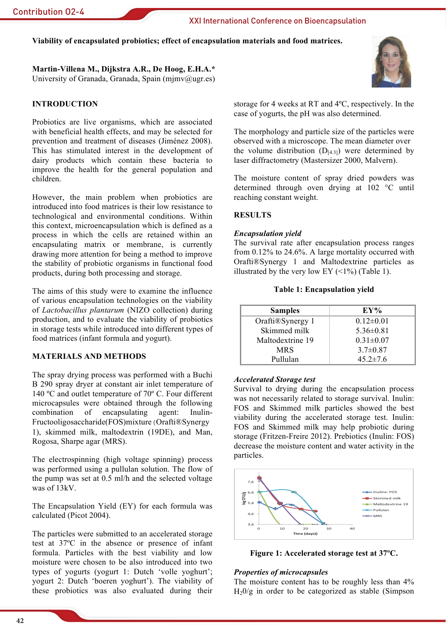## Viability of encapsulated probiotics; effect of encapsulation materials and food matrices.

Martin-Villena M., Dijkstra A.R., De Hoog, E.H.A.\* University of Granada, Granada, Spain (mimv@ugr.es)

### **INTRODUCTION**

Probiotics are live organisms, which are associated with beneficial health effects, and may be selected for prevention and treatment of diseases (Jiménez 2008). This has stimulated interest in the development of dairy products which contain these bacteria to improve the health for the general population and children

However, the main problem when probiotics are introduced into food matrices is their low resistance to technological and environmental conditions. Within this context, microencapsulation which is defined as a process in which the cells are retained within an encapsulating matrix or membrane, is currently drawing more attention for being a method to improve the stability of probiotic organisms in functional food products, during both processing and storage.

The aims of this study were to examine the influence of various encapsulation technologies on the viability of Lactobacillus plantarum (NIZO collection) during production, and to evaluate the viability of probiotics in storage tests while introduced into different types of food matrices (infant formula and yogurt).

## **MATERIALS AND METHODS**

The spray drying process was performed with a Buchi B 290 spray dryer at constant air inlet temperature of 140 °C and outlet temperature of 70° C. Four different microcapsules were obtained through the following combination of encapsulating agent: Inulin-Fructooligosaccharide(FOS)mixture (Orafti®Synergy 1). skimmed milk. maltodextrin (19DE), and Man. Rogosa, Sharpe agar (MRS).

The electrospinning (high voltage spinning) process was performed using a pullulan solution. The flow of the pump was set at 0.5 ml/h and the selected voltage was of  $13kV$ 

The Encapsulation Yield (EY) for each formula was calculated (Picot 2004).

The particles were submitted to an accelerated storage test at 37°C in the absence or presence of infant formula. Particles with the best viability and low moisture were chosen to be also introduced into two types of yogurts (yogurt 1: Dutch 'volle yoghurt'; yogurt 2: Dutch 'boeren yoghurt'). The viability of these probiotics was also evaluated during their



storage for 4 weeks at RT and 4°C, respectively. In the case of yogurts, the pH was also determined.

The morphology and particle size of the particles were observed with a microscope. The mean diameter over the volume distribution  $(D_{[4,3]})$  were determined by laser diffractometry (Mastersizer 2000, Malvern).

The moisture content of spray dried powders was determined through oven drying at 102 °C until reaching constant weight.

### **RESULTS**

#### **Encapsulation yield**

The survival rate after encapsulation process ranges from  $0.12\%$  to 24.6%. A large mortality occurred with Orafti®Synergy 1 and Maltodextrine particles as illustrated by the very low EY  $(\leq 1\%)$  (Table 1).

#### **Table 1: Encapsulation yield**

| <b>Samples</b>   | EY%             |
|------------------|-----------------|
| Orafti®Synergy 1 | $0.12 \pm 0.01$ |
| Skimmed milk     | $5.36\pm0.81$   |
| Maltodextrine 19 | $0.31 \pm 0.07$ |
| <b>MRS</b>       | $3.7\pm0.87$    |
| Pullulan         | $45.2 \pm 7.6$  |

#### **Accelerated Storage test**

Survival to drying during the encapsulation process was not necessarily related to storage survival. Inulin: FOS and Skimmed milk particles showed the best viability during the accelerated storage test. Inulin: FOS and Skimmed milk may help probiotic during storage (Fritzen-Freire 2012). Prebiotics (Inulin: FOS) decrease the moisture content and water activity in the particles.



Figure 1: Accelerated storage test at 37°C.

#### **Properties of microcapsules**

The moisture content has to be roughly less than 4%  $H_2O/g$  in order to be categorized as stable (Simpson